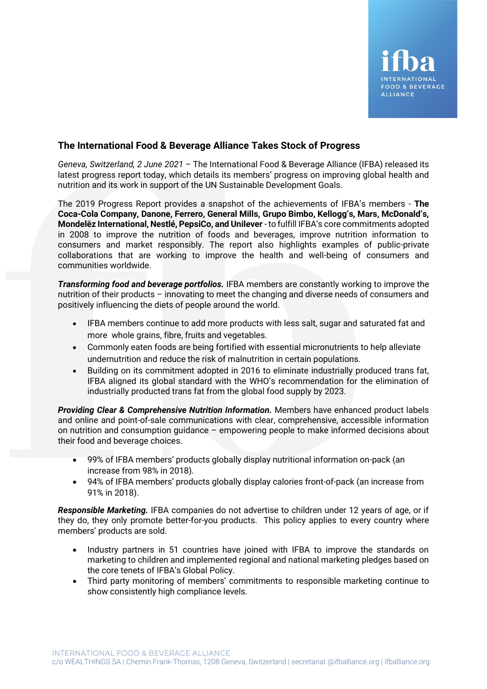## **The International Food & Beverage Alliance Takes Stock of Progress**

*Geneva, Switzerland, 2 June 2021 –* The International Food & Beverage Alliance (IFBA) released its latest progress report today, which details its members' progress on improving global health and nutrition and its work in support of the UN Sustainable Development Goals.

The 2019 Progress Report provides a snapshot of the achievements of IFBA's members - **The Coca-Cola Company, Danone, Ferrero, General Mills, Grupo Bimbo, Kellogg's, Mars, McDonald's, Mondelēz International, Nestlé, PepsiCo, and Unilever** - to fulfill IFBA's core commitments adopted in 2008 to improve the nutrition of foods and beverages, improve nutrition information to consumers and market responsibly. The report also highlights examples of public-private collaborations that are working to improve the health and well-being of consumers and communities worldwide.

*Transforming food and beverage portfolios.* IFBA members are constantly working to improve the nutrition of their products – innovating to meet the changing and diverse needs of consumers and positively influencing the diets of people around the world.

- IFBA members continue to add more products with less salt, sugar and saturated fat and more whole grains, fibre, fruits and vegetables.
- Commonly eaten foods are being fortified with essential micronutrients to help alleviate undernutrition and reduce the risk of malnutrition in certain populations.
- Building on its commitment adopted in 2016 to eliminate industrially produced trans fat, IFBA aligned its global standard with the WHO's recommendation for the elimination of industrially producted trans fat from the global food supply by 2023.

**Providing Clear & Comprehensive Nutrition Information.** Members have enhanced product labels and online and point-of-sale communications with clear, comprehensive, accessible information on nutrition and consumption guidance – empowering people to make informed decisions about their food and beverage choices.

- 99% of IFBA members' products globally display nutritional information on-pack (an increase from 98% in 2018).
- 94% of IFBA members' products globally display calories front-of-pack (an increase from 91% in 2018).

*Responsible Marketing.* IFBA companies do not advertise to children under 12 years of age, or if they do, they only promote better-for-you products. This policy applies to every country where members' products are sold.

- Industry partners in 51 countries have joined with IFBA to improve the standards on marketing to children and implemented regional and national marketing pledges based on the core tenets of IFBA's Global Policy.
- Third party monitoring of members' commitments to responsible marketing continue to show consistently high compliance levels.